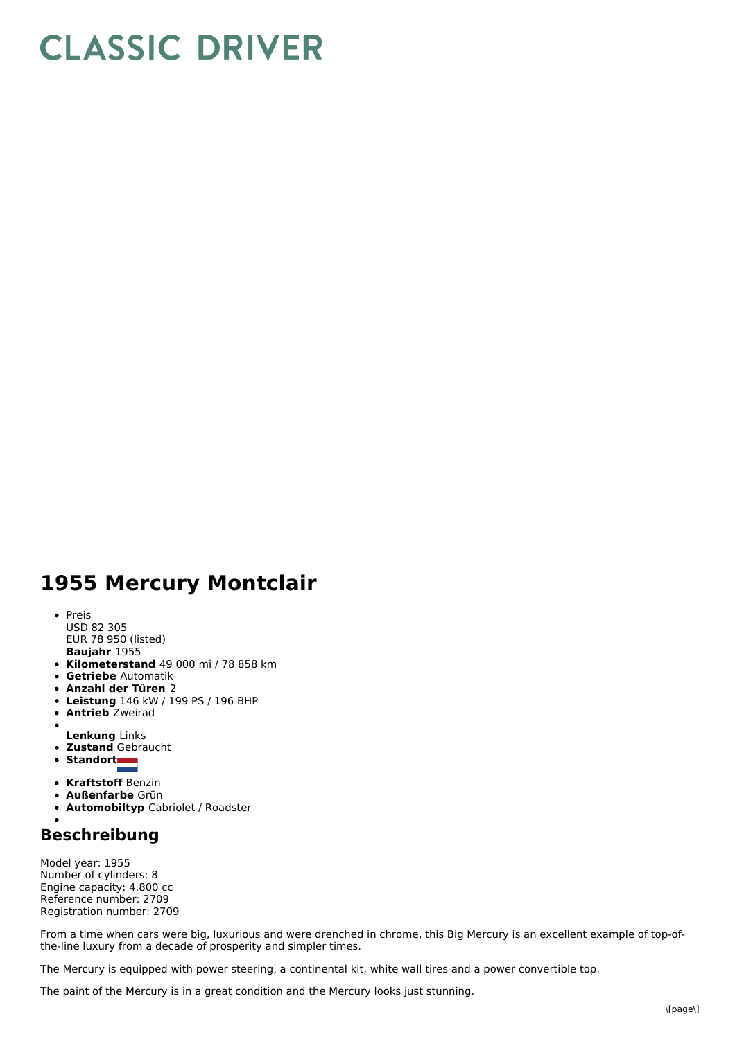## **CLASSIC DRIVER**

## **1955 Mercury Montclair**

- **Baujahr** 1955 • Preis USD 82 305 EUR 78 950 (listed)
- **Kilometerstand** 49 000 mi / 78 858 km
- **Getriebe** Automatik
- **Anzahl der Türen** 2
- **Leistung** 146 kW /199 PS / 196 BHP
- **Antrieb** Zweirad
- 
- **Lenkung** Links **Zustand** Gebraucht
- Standort
- 
- **Kraftstoff** Benzin
- **Außenfarbe** Grün
- **Automobiltyp** Cabriolet / Roadster

## **Beschreibung**

Model year: 1955 Number of cylinders: 8 Engine capacity: 4.800 cc Reference number: 2709 Registration number: 2709

From a time when cars were big, luxurious and were drenched in chrome, this Big Mercury is an excellent example of top-ofthe-line luxury from a decade of prosperity and simpler times.

The Mercury is equipped with power steering, a continental kit, white wall tires and a power convertible top.

The paint of the Mercury is in a great condition and the Mercury looks just stunning.